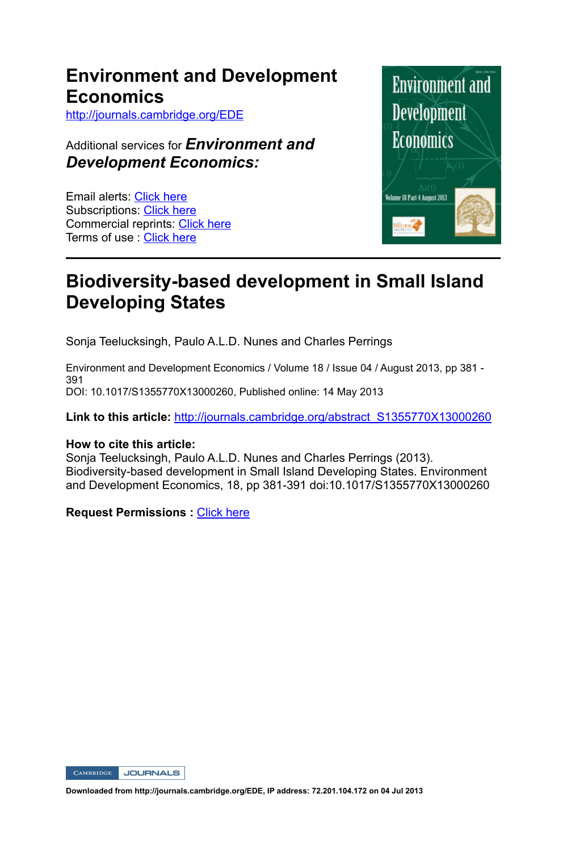# **Environment and Development Economics**

http://journals.cambridge.org/EDE

Additional services for *Environment and Development Economics:*

Email alerts: Click here Subscriptions: Click here Commercial reprints: Click here Terms of use : Click here



# **Biodiversity-based development in Small Island Developing States**

Sonja Teelucksingh, Paulo A.L.D. Nunes and Charles Perrings

Environment and Development Economics / Volume 18 / Issue 04 / August 2013, pp 381 391 DOI: 10.1017/S1355770X13000260, Published online: 14 May 2013

**Link to this article:** http://journals.cambridge.org/abstract\_S1355770X13000260

### **How to cite this article:**

Sonja Teelucksingh, Paulo A.L.D. Nunes and Charles Perrings (2013). Biodiversity-based development in Small Island Developing States. Environment and Development Economics, 18, pp 381391 doi:10.1017/S1355770X13000260

### **Request Permissions :** Click here

CAMBRIDGE JOURNALS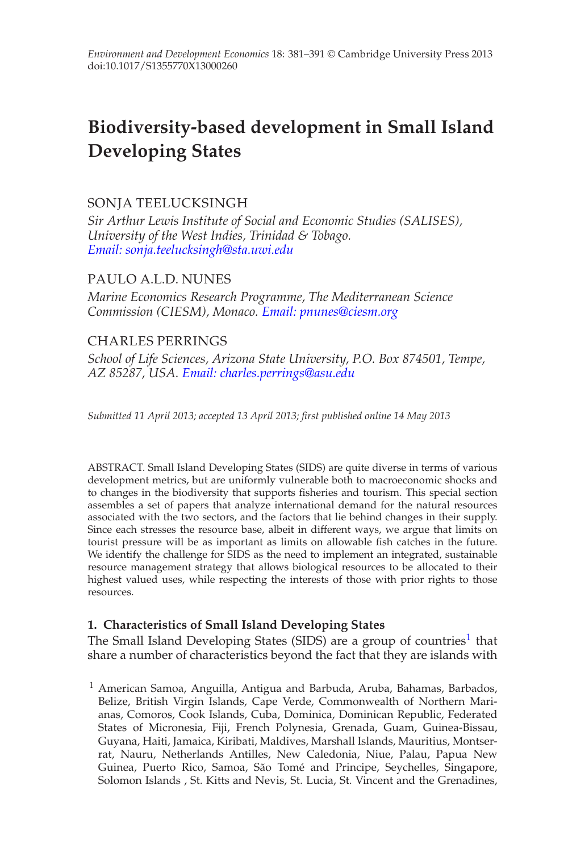# **Biodiversity-based development in Small Island Developing States**

## SONJA TEELUCKSINGH

*Sir Arthur Lewis Institute of Social and Economic Studies (SALISES), University of the West Indies, Trinidad & Tobago. [Email: sonja.teelucksingh@sta.uwi.edu](mailto:sonja.teelucksingh@sta.uwi.edu)*

## PAULO A.L.D. NUNES

*Marine Economics Research Programme, The Mediterranean Science Commission (CIESM), Monaco. [Email: pnunes@ciesm.org](mailto:pnunes@ciesm.org)*

## CHARLES PERRINGS

*School of Life Sciences, Arizona State University, P.O. Box 874501, Tempe, AZ 85287, USA. [Email: charles.perrings@asu.edu](mailto:charles.perrings@asu.edu)*

*Submitted 11 April 2013; accepted 13 April 2013; first published online 14 May 2013*

ABSTRACT. Small Island Developing States (SIDS) are quite diverse in terms of various development metrics, but are uniformly vulnerable both to macroeconomic shocks and to changes in the biodiversity that supports fisheries and tourism. This special section assembles a set of papers that analyze international demand for the natural resources associated with the two sectors, and the factors that lie behind changes in their supply. Since each stresses the resource base, albeit in different ways, we argue that limits on tourist pressure will be as important as limits on allowable fish catches in the future. We identify the challenge for SIDS as the need to implement an integrated, sustainable resource management strategy that allows biological resources to be allocated to their highest valued uses, while respecting the interests of those with prior rights to those resources.

## **1. Characteristics of Small Island Developing States**

The Small Island Developing States (SIDS) are a group of countries<sup>[1](#page-1-0)</sup> that share a number of characteristics beyond the fact that they are islands with

<span id="page-1-0"></span><sup>1</sup> American Samoa, Anguilla, Antigua and Barbuda, Aruba, Bahamas, Barbados, Belize, British Virgin Islands, Cape Verde, Commonwealth of Northern Marianas, Comoros, Cook Islands, Cuba, Dominica, Dominican Republic, Federated States of Micronesia, Fiji, French Polynesia, Grenada, Guam, Guinea-Bissau, Guyana, Haiti, Jamaica, Kiribati, Maldives, Marshall Islands, Mauritius, Montserrat, Nauru, Netherlands Antilles, New Caledonia, Niue, Palau, Papua New Guinea, Puerto Rico, Samoa, São Tomé and Principe, Seychelles, Singapore, Solomon Islands , St. Kitts and Nevis, St. Lucia, St. Vincent and the Grenadines,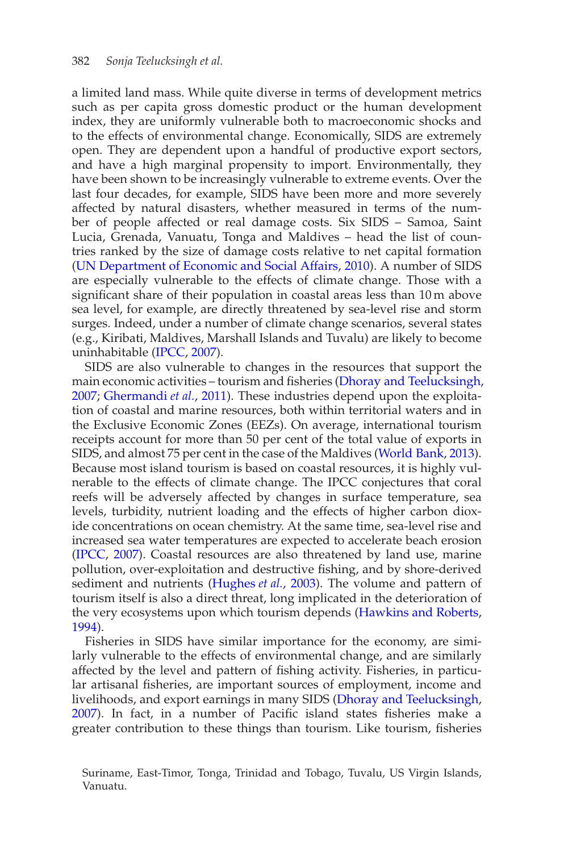a limited land mass. While quite diverse in terms of development metrics such as per capita gross domestic product or the human development index, they are uniformly vulnerable both to macroeconomic shocks and to the effects of environmental change. Economically, SIDS are extremely open. They are dependent upon a handful of productive export sectors, and have a high marginal propensity to import. Environmentally, they have been shown to be increasingly vulnerable to extreme events. Over the last four decades, for example, SIDS have been more and more severely affected by natural disasters, whether measured in terms of the number of people affected or real damage costs. Six SIDS – Samoa, Saint Lucia, Grenada, Vanuatu, Tonga and Maldives – head the list of countries ranked by the size of damage costs relative to net capital formation [\(UN Department of Economic and Social Affairs](#page-11-0), [2010](#page-11-0)). A number of SIDS are especially vulnerable to the effects of climate change. Those with a significant share of their population in coastal areas less than 10 m above sea level, for example, are directly threatened by sea-level rise and storm surges. Indeed, under a number of climate change scenarios, several states (e.g., Kiribati, Maldives, Marshall Islands and Tuvalu) are likely to become uninhabitable [\(IPCC](#page-10-0), [2007](#page-10-0)).

SIDS are also vulnerable to changes in the resources that support the main economic activities – tourism and fisheries [\(Dhoray and Teelucksingh,](#page-9-0) [2007](#page-9-0); [Ghermandi](#page-10-1) *et al.*, [2011\)](#page-10-1). These industries depend upon the exploitation of coastal and marine resources, both within territorial waters and in the Exclusive Economic Zones (EEZs). On average, international tourism receipts account for more than 50 per cent of the total value of exports in SIDS, and almost 75 per cent in the case of the Maldives [\(World Bank,](#page-11-1) [2013\)](#page-11-1). Because most island tourism is based on coastal resources, it is highly vulnerable to the effects of climate change. The IPCC conjectures that coral reefs will be adversely affected by changes in surface temperature, sea levels, turbidity, nutrient loading and the effects of higher carbon dioxide concentrations on ocean chemistry. At the same time, sea-level rise and increased sea water temperatures are expected to accelerate beach erosion [\(IPCC](#page-10-0), [2007](#page-10-0)). Coastal resources are also threatened by land use, marine pollution, over-exploitation and destructive fishing, and by shore-derived sediment and nutrients [\(Hughes](#page-10-2) *et al.*, [2003\)](#page-10-2). The volume and pattern of tourism itself is also a direct threat, long implicated in the deterioration of the very ecosystems upon which tourism depends [\(Hawkins and Roberts](#page-10-3), [1994](#page-10-3)).

Fisheries in SIDS have similar importance for the economy, are similarly vulnerable to the effects of environmental change, and are similarly affected by the level and pattern of fishing activity. Fisheries, in particular artisanal fisheries, are important sources of employment, income and livelihoods, and export earnings in many SIDS [\(Dhoray and Teelucksingh](#page-9-0), [2007](#page-9-0)). In fact, in a number of Pacific island states fisheries make a greater contribution to these things than tourism. Like tourism, fisheries

Suriname, East-Timor, Tonga, Trinidad and Tobago, Tuvalu, US Virgin Islands, Vanuatu.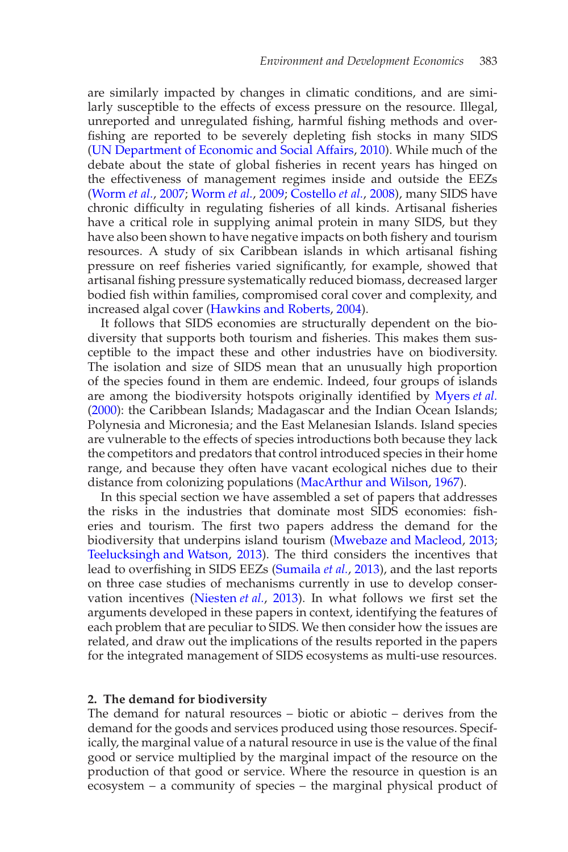are similarly impacted by changes in climatic conditions, and are similarly susceptible to the effects of excess pressure on the resource. Illegal, unreported and unregulated fishing, harmful fishing methods and overfishing are reported to be severely depleting fish stocks in many SIDS [\(UN Department of Economic and Social Affairs](#page-11-0), [2010](#page-11-0)). While much of the debate about the state of global fisheries in recent years has hinged on the effectiveness of management regimes inside and outside the EEZs [\(Worm](#page-11-2) *et al.*, [2007](#page-11-2); [Worm](#page-11-3) *et al.*, [2009;](#page-11-3) [Costello](#page-9-1) *et al.*, [2008\)](#page-9-1), many SIDS have chronic difficulty in regulating fisheries of all kinds. Artisanal fisheries have a critical role in supplying animal protein in many SIDS, but they have also been shown to have negative impacts on both fishery and tourism resources. A study of six Caribbean islands in which artisanal fishing pressure on reef fisheries varied significantly, for example, showed that artisanal fishing pressure systematically reduced biomass, decreased larger bodied fish within families, compromised coral cover and complexity, and increased algal cover [\(Hawkins and Roberts](#page-10-4), [2004](#page-10-4)).

It follows that SIDS economies are structurally dependent on the biodiversity that supports both tourism and fisheries. This makes them susceptible to the impact these and other industries have on biodiversity. The isolation and size of SIDS mean that an unusually high proportion of the species found in them are endemic. Indeed, four groups of islands are among the biodiversity hotspots originally identified by [Myers](#page-10-5) *et al.* [\(2000\)](#page-10-5): the Caribbean Islands; Madagascar and the Indian Ocean Islands; Polynesia and Micronesia; and the East Melanesian Islands. Island species are vulnerable to the effects of species introductions both because they lack the competitors and predators that control introduced species in their home range, and because they often have vacant ecological niches due to their distance from colonizing populations [\(MacArthur and Wilson,](#page-10-6) [1967\)](#page-10-6).

In this special section we have assembled a set of papers that addresses the risks in the industries that dominate most SIDS economies: fisheries and tourism. The first two papers address the demand for the biodiversity that underpins island tourism [\(Mwebaze and Macleod,](#page-10-7) [2013;](#page-10-7) [Teelucksingh and Watson](#page-11-4), [2013\)](#page-11-4). The third considers the incentives that lead to overfishing in SIDS EEZs [\(Sumaila](#page-11-5) *et al.*, [2013\)](#page-11-5), and the last reports on three case studies of mechanisms currently in use to develop conservation incentives [\(Niesten](#page-10-8) *et al.*, [2013](#page-10-8)). In what follows we first set the arguments developed in these papers in context, identifying the features of each problem that are peculiar to SIDS. We then consider how the issues are related, and draw out the implications of the results reported in the papers for the integrated management of SIDS ecosystems as multi-use resources.

#### **2. The demand for biodiversity**

The demand for natural resources – biotic or abiotic – derives from the demand for the goods and services produced using those resources. Specifically, the marginal value of a natural resource in use is the value of the final good or service multiplied by the marginal impact of the resource on the production of that good or service. Where the resource in question is an ecosystem – a community of species – the marginal physical product of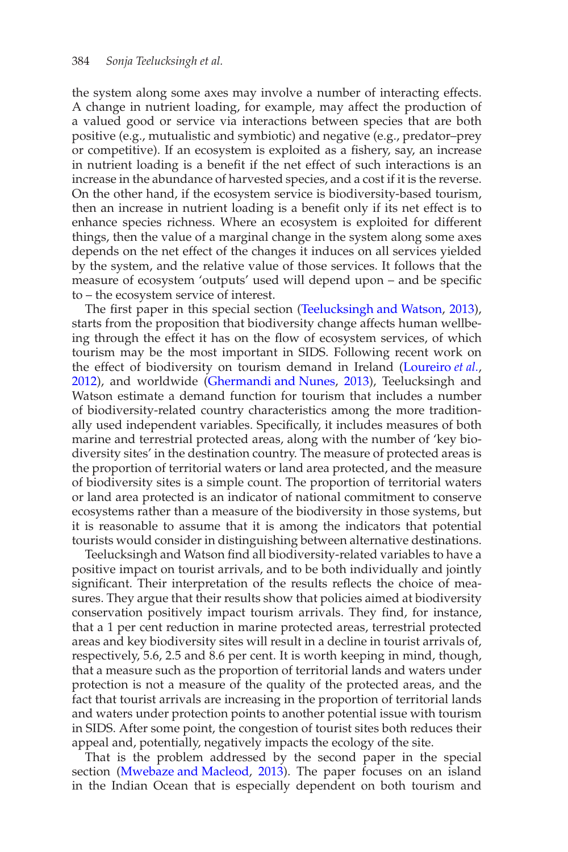the system along some axes may involve a number of interacting effects. A change in nutrient loading, for example, may affect the production of a valued good or service via interactions between species that are both positive (e.g., mutualistic and symbiotic) and negative (e.g., predator–prey or competitive). If an ecosystem is exploited as a fishery, say, an increase in nutrient loading is a benefit if the net effect of such interactions is an increase in the abundance of harvested species, and a cost if it is the reverse. On the other hand, if the ecosystem service is biodiversity-based tourism, then an increase in nutrient loading is a benefit only if its net effect is to enhance species richness. Where an ecosystem is exploited for different things, then the value of a marginal change in the system along some axes depends on the net effect of the changes it induces on all services yielded by the system, and the relative value of those services. It follows that the measure of ecosystem 'outputs' used will depend upon – and be specific to – the ecosystem service of interest.

The first paper in this special section [\(Teelucksingh and Watson](#page-11-4), [2013\)](#page-11-4), starts from the proposition that biodiversity change affects human wellbeing through the effect it has on the flow of ecosystem services, of which tourism may be the most important in SIDS. Following recent work on the effect of biodiversity on tourism demand in Ireland [\(Loureiro](#page-10-9) *et al.*, [2012](#page-10-9)), and worldwide [\(Ghermandi and Nunes](#page-10-10), [2013\)](#page-10-10), Teelucksingh and Watson estimate a demand function for tourism that includes a number of biodiversity-related country characteristics among the more traditionally used independent variables. Specifically, it includes measures of both marine and terrestrial protected areas, along with the number of 'key biodiversity sites' in the destination country. The measure of protected areas is the proportion of territorial waters or land area protected, and the measure of biodiversity sites is a simple count. The proportion of territorial waters or land area protected is an indicator of national commitment to conserve ecosystems rather than a measure of the biodiversity in those systems, but it is reasonable to assume that it is among the indicators that potential tourists would consider in distinguishing between alternative destinations.

Teelucksingh and Watson find all biodiversity-related variables to have a positive impact on tourist arrivals, and to be both individually and jointly significant. Their interpretation of the results reflects the choice of measures. They argue that their results show that policies aimed at biodiversity conservation positively impact tourism arrivals. They find, for instance, that a 1 per cent reduction in marine protected areas, terrestrial protected areas and key biodiversity sites will result in a decline in tourist arrivals of, respectively, 5.6, 2.5 and 8.6 per cent. It is worth keeping in mind, though, that a measure such as the proportion of territorial lands and waters under protection is not a measure of the quality of the protected areas, and the fact that tourist arrivals are increasing in the proportion of territorial lands and waters under protection points to another potential issue with tourism in SIDS. After some point, the congestion of tourist sites both reduces their appeal and, potentially, negatively impacts the ecology of the site.

That is the problem addressed by the second paper in the special section [\(Mwebaze and Macleod](#page-10-7), [2013\)](#page-10-7). The paper focuses on an island in the Indian Ocean that is especially dependent on both tourism and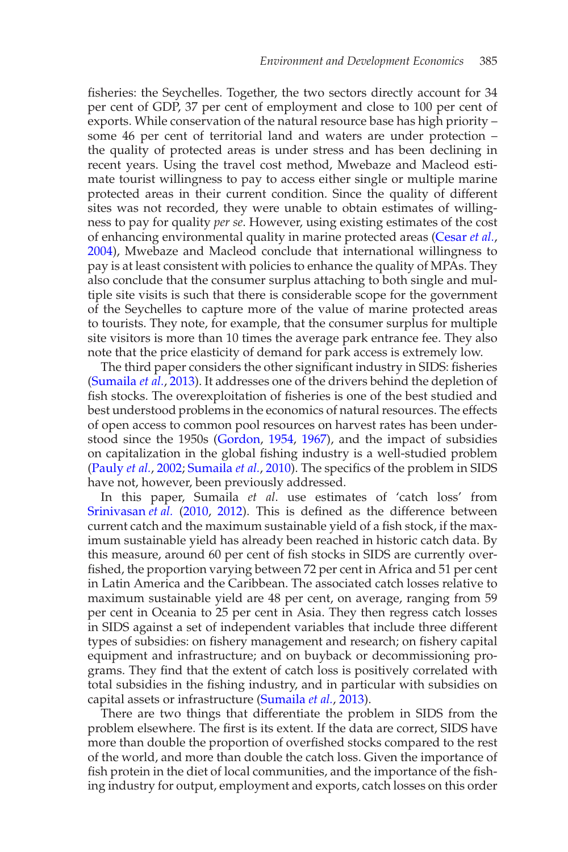fisheries: the Seychelles. Together, the two sectors directly account for 34 per cent of GDP, 37 per cent of employment and close to 100 per cent of exports. While conservation of the natural resource base has high priority – some 46 per cent of territorial land and waters are under protection – the quality of protected areas is under stress and has been declining in recent years. Using the travel cost method, Mwebaze and Macleod estimate tourist willingness to pay to access either single or multiple marine protected areas in their current condition. Since the quality of different sites was not recorded, they were unable to obtain estimates of willingness to pay for quality *per se*. However, using existing estimates of the cost of enhancing environmental quality in marine protected areas [\(Cesar](#page-9-2) *et al.*, [2004](#page-9-2)), Mwebaze and Macleod conclude that international willingness to pay is at least consistent with policies to enhance the quality of MPAs. They also conclude that the consumer surplus attaching to both single and multiple site visits is such that there is considerable scope for the government of the Seychelles to capture more of the value of marine protected areas to tourists. They note, for example, that the consumer surplus for multiple site visitors is more than 10 times the average park entrance fee. They also note that the price elasticity of demand for park access is extremely low.

The third paper considers the other significant industry in SIDS: fisheries [\(Sumaila](#page-11-5) *et al.*, [2013\)](#page-11-5). It addresses one of the drivers behind the depletion of fish stocks. The overexploitation of fisheries is one of the best studied and best understood problems in the economics of natural resources. The effects of open access to common pool resources on harvest rates has been understood since the 1950s [\(Gordon,](#page-10-11) [1954,](#page-10-11) [1967\)](#page-10-12), and the impact of subsidies on capitalization in the global fishing industry is a well-studied problem [\(Pauly](#page-10-13) *et al.*, [2002;](#page-10-13) [Sumaila](#page-11-6) *et al.*, [2010\)](#page-11-6). The specifics of the problem in SIDS have not, however, been previously addressed.

In this paper, Sumaila *et al*. use estimates of 'catch loss' from [Srinivasan](#page-10-14) *et al.* [\(2010](#page-10-14), [2012\)](#page-11-7). This is defined as the difference between current catch and the maximum sustainable yield of a fish stock, if the maximum sustainable yield has already been reached in historic catch data. By this measure, around 60 per cent of fish stocks in SIDS are currently overfished, the proportion varying between 72 per cent in Africa and 51 per cent in Latin America and the Caribbean. The associated catch losses relative to maximum sustainable yield are 48 per cent, on average, ranging from 59 per cent in Oceania to 25 per cent in Asia. They then regress catch losses in SIDS against a set of independent variables that include three different types of subsidies: on fishery management and research; on fishery capital equipment and infrastructure; and on buyback or decommissioning programs. They find that the extent of catch loss is positively correlated with total subsidies in the fishing industry, and in particular with subsidies on capital assets or infrastructure [\(Sumaila](#page-11-5) *et al.*, [2013](#page-11-5)).

There are two things that differentiate the problem in SIDS from the problem elsewhere. The first is its extent. If the data are correct, SIDS have more than double the proportion of overfished stocks compared to the rest of the world, and more than double the catch loss. Given the importance of fish protein in the diet of local communities, and the importance of the fishing industry for output, employment and exports, catch losses on this order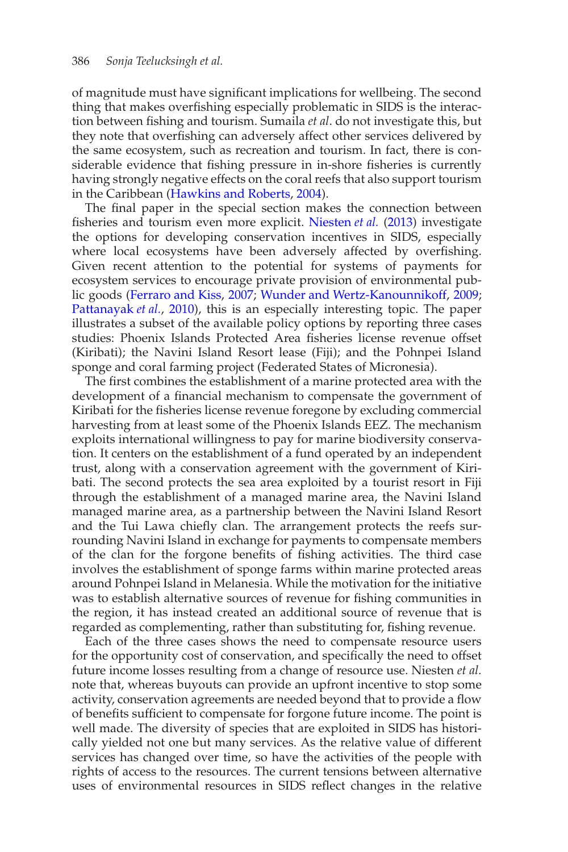of magnitude must have significant implications for wellbeing. The second thing that makes overfishing especially problematic in SIDS is the interaction between fishing and tourism. Sumaila *et al*. do not investigate this, but they note that overfishing can adversely affect other services delivered by the same ecosystem, such as recreation and tourism. In fact, there is considerable evidence that fishing pressure in in-shore fisheries is currently having strongly negative effects on the coral reefs that also support tourism in the Caribbean [\(Hawkins and Roberts](#page-10-4), [2004\)](#page-10-4).

The final paper in the special section makes the connection between fisheries and tourism even more explicit. [Niesten](#page-10-8) *et al.* [\(2013](#page-10-8)) investigate the options for developing conservation incentives in SIDS, especially where local ecosystems have been adversely affected by overfishing. Given recent attention to the potential for systems of payments for ecosystem services to encourage private provision of environmental public goods [\(Ferraro and Kiss,](#page-9-3) [2007](#page-9-3); [Wunder and Wertz-Kanounnikoff,](#page-11-8) [2009](#page-11-8); [Pattanayak](#page-10-15) *et al.*, [2010](#page-10-15)), this is an especially interesting topic. The paper illustrates a subset of the available policy options by reporting three cases studies: Phoenix Islands Protected Area fisheries license revenue offset (Kiribati); the Navini Island Resort lease (Fiji); and the Pohnpei Island sponge and coral farming project (Federated States of Micronesia).

The first combines the establishment of a marine protected area with the development of a financial mechanism to compensate the government of Kiribati for the fisheries license revenue foregone by excluding commercial harvesting from at least some of the Phoenix Islands EEZ. The mechanism exploits international willingness to pay for marine biodiversity conservation. It centers on the establishment of a fund operated by an independent trust, along with a conservation agreement with the government of Kiribati. The second protects the sea area exploited by a tourist resort in Fiji through the establishment of a managed marine area, the Navini Island managed marine area, as a partnership between the Navini Island Resort and the Tui Lawa chiefly clan. The arrangement protects the reefs surrounding Navini Island in exchange for payments to compensate members of the clan for the forgone benefits of fishing activities. The third case involves the establishment of sponge farms within marine protected areas around Pohnpei Island in Melanesia. While the motivation for the initiative was to establish alternative sources of revenue for fishing communities in the region, it has instead created an additional source of revenue that is regarded as complementing, rather than substituting for, fishing revenue.

Each of the three cases shows the need to compensate resource users for the opportunity cost of conservation, and specifically the need to offset future income losses resulting from a change of resource use. Niesten *et al.* note that, whereas buyouts can provide an upfront incentive to stop some activity, conservation agreements are needed beyond that to provide a flow of benefits sufficient to compensate for forgone future income. The point is well made. The diversity of species that are exploited in SIDS has historically yielded not one but many services. As the relative value of different services has changed over time, so have the activities of the people with rights of access to the resources. The current tensions between alternative uses of environmental resources in SIDS reflect changes in the relative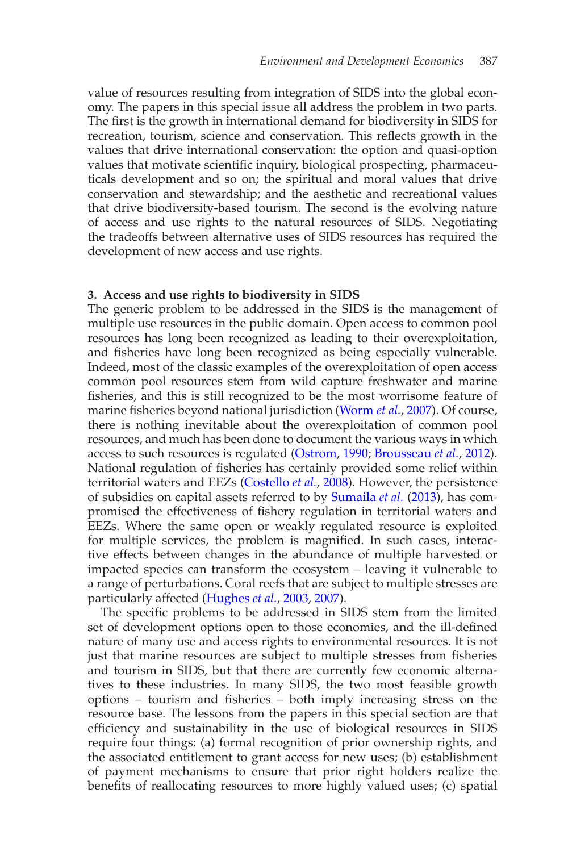value of resources resulting from integration of SIDS into the global economy. The papers in this special issue all address the problem in two parts. The first is the growth in international demand for biodiversity in SIDS for recreation, tourism, science and conservation. This reflects growth in the values that drive international conservation: the option and quasi-option values that motivate scientific inquiry, biological prospecting, pharmaceuticals development and so on; the spiritual and moral values that drive conservation and stewardship; and the aesthetic and recreational values that drive biodiversity-based tourism. The second is the evolving nature of access and use rights to the natural resources of SIDS. Negotiating the tradeoffs between alternative uses of SIDS resources has required the development of new access and use rights.

#### **3. Access and use rights to biodiversity in SIDS**

The generic problem to be addressed in the SIDS is the management of multiple use resources in the public domain. Open access to common pool resources has long been recognized as leading to their overexploitation, and fisheries have long been recognized as being especially vulnerable. Indeed, most of the classic examples of the overexploitation of open access common pool resources stem from wild capture freshwater and marine fisheries, and this is still recognized to be the most worrisome feature of marine fisheries beyond national jurisdiction [\(Worm](#page-11-2) *et al.*, [2007](#page-11-2)). Of course, there is nothing inevitable about the overexploitation of common pool resources, and much has been done to document the various ways in which access to such resources is regulated [\(Ostrom](#page-10-16), [1990](#page-10-16); [Brousseau](#page-9-4) *et al.*, [2012\)](#page-9-4). National regulation of fisheries has certainly provided some relief within territorial waters and EEZs [\(Costello](#page-9-1) *et al.*, [2008](#page-9-1)). However, the persistence of subsidies on capital assets referred to by [Sumaila](#page-11-5) *et al.* [\(2013](#page-11-5)), has compromised the effectiveness of fishery regulation in territorial waters and EEZs. Where the same open or weakly regulated resource is exploited for multiple services, the problem is magnified. In such cases, interactive effects between changes in the abundance of multiple harvested or impacted species can transform the ecosystem – leaving it vulnerable to a range of perturbations. Coral reefs that are subject to multiple stresses are particularly affected [\(Hughes](#page-10-2) *et al.*, [2003,](#page-10-2) [2007\)](#page-10-17).

The specific problems to be addressed in SIDS stem from the limited set of development options open to those economies, and the ill-defined nature of many use and access rights to environmental resources. It is not just that marine resources are subject to multiple stresses from fisheries and tourism in SIDS, but that there are currently few economic alternatives to these industries. In many SIDS, the two most feasible growth options – tourism and fisheries – both imply increasing stress on the resource base. The lessons from the papers in this special section are that efficiency and sustainability in the use of biological resources in SIDS require four things: (a) formal recognition of prior ownership rights, and the associated entitlement to grant access for new uses; (b) establishment of payment mechanisms to ensure that prior right holders realize the benefits of reallocating resources to more highly valued uses; (c) spatial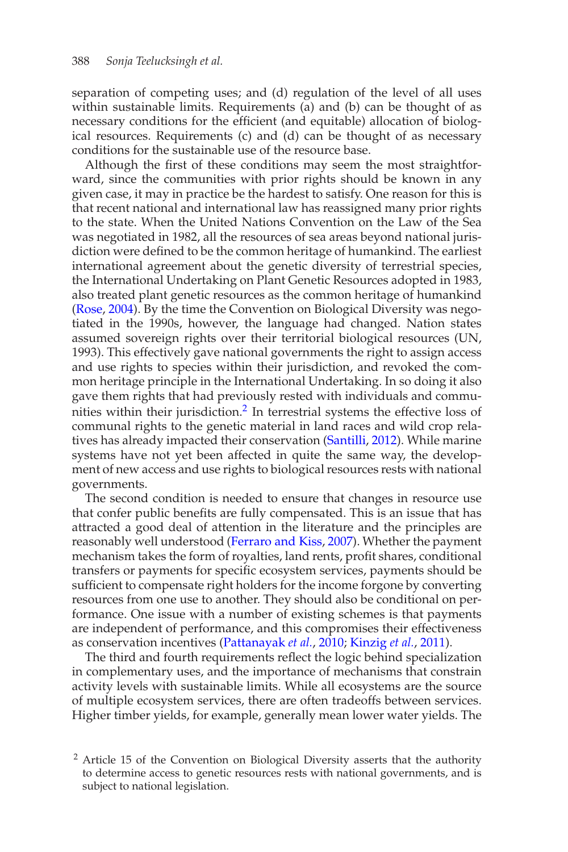separation of competing uses; and (d) regulation of the level of all uses within sustainable limits. Requirements (a) and (b) can be thought of as necessary conditions for the efficient (and equitable) allocation of biological resources. Requirements (c) and (d) can be thought of as necessary conditions for the sustainable use of the resource base.

Although the first of these conditions may seem the most straightforward, since the communities with prior rights should be known in any given case, it may in practice be the hardest to satisfy. One reason for this is that recent national and international law has reassigned many prior rights to the state. When the United Nations Convention on the Law of the Sea was negotiated in 1982, all the resources of sea areas beyond national jurisdiction were defined to be the common heritage of humankind. The earliest international agreement about the genetic diversity of terrestrial species, the International Undertaking on Plant Genetic Resources adopted in 1983, also treated plant genetic resources as the common heritage of humankind [\(Rose,](#page-10-18) [2004](#page-10-18)). By the time the Convention on Biological Diversity was negotiated in the 1990s, however, the language had changed. Nation states assumed sovereign rights over their territorial biological resources (UN, 1993). This effectively gave national governments the right to assign access and use rights to species within their jurisdiction, and revoked the common heritage principle in the International Undertaking. In so doing it also gave them rights that had previously rested with individuals and commu-nities within their jurisdiction.<sup>[2](#page-8-0)</sup> In terrestrial systems the effective loss of communal rights to the genetic material in land races and wild crop relatives has already impacted their conservation [\(Santilli,](#page-10-19) [2012\)](#page-10-19). While marine systems have not yet been affected in quite the same way, the development of new access and use rights to biological resources rests with national governments.

The second condition is needed to ensure that changes in resource use that confer public benefits are fully compensated. This is an issue that has attracted a good deal of attention in the literature and the principles are reasonably well understood [\(Ferraro and Kiss](#page-9-3), [2007\)](#page-9-3). Whether the payment mechanism takes the form of royalties, land rents, profit shares, conditional transfers or payments for specific ecosystem services, payments should be sufficient to compensate right holders for the income forgone by converting resources from one use to another. They should also be conditional on performance. One issue with a number of existing schemes is that payments are independent of performance, and this compromises their effectiveness as conservation incentives [\(Pattanayak](#page-10-15) *et al.*, [2010;](#page-10-15) [Kinzig](#page-10-20) *et al.*, [2011\)](#page-10-20).

The third and fourth requirements reflect the logic behind specialization in complementary uses, and the importance of mechanisms that constrain activity levels with sustainable limits. While all ecosystems are the source of multiple ecosystem services, there are often tradeoffs between services. Higher timber yields, for example, generally mean lower water yields. The

<span id="page-8-0"></span><sup>&</sup>lt;sup>2</sup> Article 15 of the Convention on Biological Diversity asserts that the authority to determine access to genetic resources rests with national governments, and is subject to national legislation.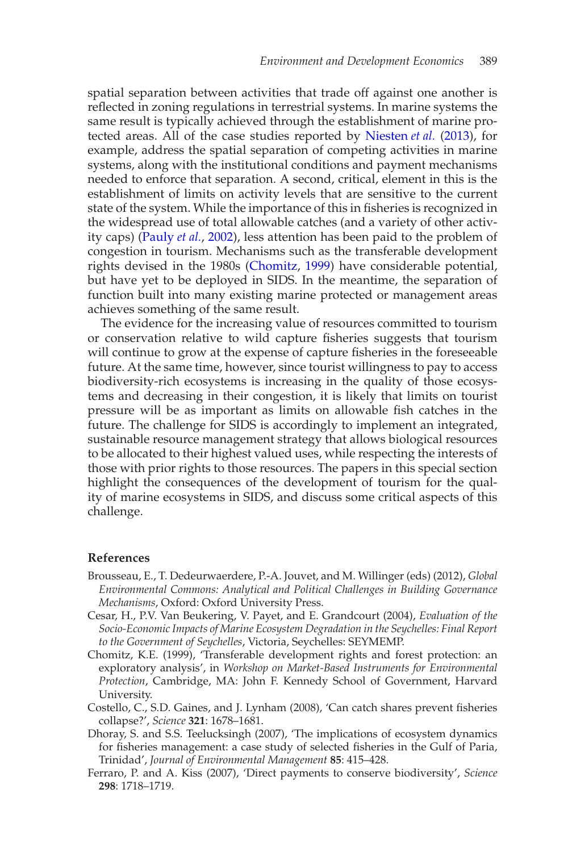spatial separation between activities that trade off against one another is reflected in zoning regulations in terrestrial systems. In marine systems the same result is typically achieved through the establishment of marine protected areas. All of the case studies reported by [Niesten](#page-10-8) *et al.* [\(2013](#page-10-8)), for example, address the spatial separation of competing activities in marine systems, along with the institutional conditions and payment mechanisms needed to enforce that separation. A second, critical, element in this is the establishment of limits on activity levels that are sensitive to the current state of the system. While the importance of this in fisheries is recognized in the widespread use of total allowable catches (and a variety of other activity caps) [\(Pauly](#page-10-13) *et al.*, [2002\)](#page-10-13), less attention has been paid to the problem of congestion in tourism. Mechanisms such as the transferable development rights devised in the 1980s [\(Chomitz,](#page-9-5) [1999\)](#page-9-5) have considerable potential, but have yet to be deployed in SIDS. In the meantime, the separation of function built into many existing marine protected or management areas achieves something of the same result.

The evidence for the increasing value of resources committed to tourism or conservation relative to wild capture fisheries suggests that tourism will continue to grow at the expense of capture fisheries in the foreseeable future. At the same time, however, since tourist willingness to pay to access biodiversity-rich ecosystems is increasing in the quality of those ecosystems and decreasing in their congestion, it is likely that limits on tourist pressure will be as important as limits on allowable fish catches in the future. The challenge for SIDS is accordingly to implement an integrated, sustainable resource management strategy that allows biological resources to be allocated to their highest valued uses, while respecting the interests of those with prior rights to those resources. The papers in this special section highlight the consequences of the development of tourism for the quality of marine ecosystems in SIDS, and discuss some critical aspects of this challenge.

#### **References**

- <span id="page-9-4"></span>Brousseau, E., T. Dedeurwaerdere, P.-A. Jouvet, and M. Willinger (eds) (2012), *Global Environmental Commons: Analytical and Political Challenges in Building Governance Mechanisms*, Oxford: Oxford University Press.
- <span id="page-9-2"></span>Cesar, H., P.V. Van Beukering, V. Payet, and E. Grandcourt (2004), *Evaluation of the Socio-Economic Impacts of Marine Ecosystem Degradation in the Seychelles: Final Report to the Government of Seychelles*, Victoria, Seychelles: SEYMEMP.
- <span id="page-9-5"></span>Chomitz, K.E. (1999), 'Transferable development rights and forest protection: an exploratory analysis', in *Workshop on Market-Based Instruments for Environmental Protection*, Cambridge, MA: John F. Kennedy School of Government, Harvard University.
- <span id="page-9-1"></span>Costello, C., S.D. Gaines, and J. Lynham (2008), 'Can catch shares prevent fisheries collapse?', *Science* **321**: 1678–1681.
- <span id="page-9-0"></span>Dhoray, S. and S.S. Teelucksingh (2007), 'The implications of ecosystem dynamics for fisheries management: a case study of selected fisheries in the Gulf of Paria, Trinidad', *Journal of Environmental Management* **85**: 415–428.
- <span id="page-9-3"></span>Ferraro, P. and A. Kiss (2007), 'Direct payments to conserve biodiversity', *Science* **298**: 1718–1719.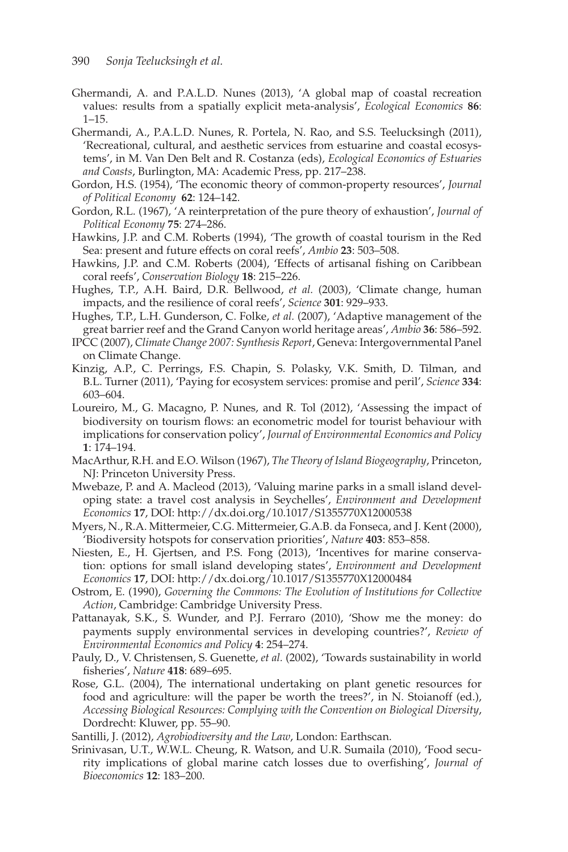- <span id="page-10-10"></span>Ghermandi, A. and P.A.L.D. Nunes (2013), 'A global map of coastal recreation values: results from a spatially explicit meta-analysis', *Ecological Economics* **86**: 1–15.
- <span id="page-10-1"></span>Ghermandi, A., P.A.L.D. Nunes, R. Portela, N. Rao, and S.S. Teelucksingh (2011), 'Recreational, cultural, and aesthetic services from estuarine and coastal ecosystems', in M. Van Den Belt and R. Costanza (eds), *Ecological Economics of Estuaries and Coasts*, Burlington, MA: Academic Press, pp. 217–238.
- <span id="page-10-11"></span>Gordon, H.S. (1954), 'The economic theory of common-property resources', *Journal of Political Economy* **62**: 124–142.
- <span id="page-10-12"></span>Gordon, R.L. (1967), 'A reinterpretation of the pure theory of exhaustion', *Journal of Political Economy* **75**: 274–286.
- <span id="page-10-3"></span>Hawkins, J.P. and C.M. Roberts (1994), 'The growth of coastal tourism in the Red Sea: present and future effects on coral reefs', *Ambio* **23**: 503–508.
- <span id="page-10-4"></span>Hawkins, J.P. and C.M. Roberts (2004), 'Effects of artisanal fishing on Caribbean coral reefs', *Conservation Biology* **18**: 215–226.
- <span id="page-10-2"></span>Hughes, T.P., A.H. Baird, D.R. Bellwood, *et al.* (2003), 'Climate change, human impacts, and the resilience of coral reefs', *Science* **301**: 929–933.
- <span id="page-10-17"></span>Hughes, T.P., L.H. Gunderson, C. Folke, *et al.* (2007), 'Adaptive management of the great barrier reef and the Grand Canyon world heritage areas', *Ambio* **36**: 586–592.
- <span id="page-10-0"></span>IPCC (2007), *Climate Change 2007: Synthesis Report*, Geneva: Intergovernmental Panel on Climate Change.
- <span id="page-10-20"></span>Kinzig, A.P., C. Perrings, F.S. Chapin, S. Polasky, V.K. Smith, D. Tilman, and B.L. Turner (2011), 'Paying for ecosystem services: promise and peril', *Science* **334**: 603–604.
- <span id="page-10-9"></span>Loureiro, M., G. Macagno, P. Nunes, and R. Tol (2012), 'Assessing the impact of biodiversity on tourism flows: an econometric model for tourist behaviour with implications for conservation policy', *Journal of Environmental Economics and Policy* **1**: 174–194.
- <span id="page-10-6"></span>MacArthur, R.H. and E.O. Wilson (1967), *The Theory of Island Biogeography*, Princeton, NJ: Princeton University Press.
- <span id="page-10-7"></span>Mwebaze, P. and A. Macleod (2013), 'Valuing marine parks in a small island developing state: a travel cost analysis in Seychelles', *Environment and Development Economics* **17**, DOI: http://dx.doi.org/10.1017/S1355770X12000538
- <span id="page-10-5"></span>Myers, N., R.A. Mittermeier, C.G. Mittermeier, G.A.B. da Fonseca, and J. Kent (2000), 'Biodiversity hotspots for conservation priorities', *Nature* **403**: 853–858.
- <span id="page-10-8"></span>Niesten, E., H. Gjertsen, and P.S. Fong (2013), 'Incentives for marine conservation: options for small island developing states', *Environment and Development Economics* **17**, DOI: http://dx.doi.org/10.1017/S1355770X12000484
- <span id="page-10-16"></span>Ostrom, E. (1990), *Governing the Commons: The Evolution of Institutions for Collective Action*, Cambridge: Cambridge University Press.
- <span id="page-10-15"></span>Pattanayak, S.K., S. Wunder, and P.J. Ferraro (2010), 'Show me the money: do payments supply environmental services in developing countries?', *Review of Environmental Economics and Policy* **4**: 254–274.
- <span id="page-10-13"></span>Pauly, D., V. Christensen, S. Guenette, *et al.* (2002), 'Towards sustainability in world fisheries', *Nature* **418**: 689–695.
- <span id="page-10-18"></span>Rose, G.L. (2004), The international undertaking on plant genetic resources for food and agriculture: will the paper be worth the trees?', in N. Stoianoff (ed.), *Accessing Biological Resources: Complying with the Convention on Biological Diversity*, Dordrecht: Kluwer, pp. 55–90.

<span id="page-10-19"></span>Santilli, J. (2012), *Agrobiodiversity and the Law*, London: Earthscan.

<span id="page-10-14"></span>Srinivasan, U.T., W.W.L. Cheung, R. Watson, and U.R. Sumaila (2010), 'Food security implications of global marine catch losses due to overfishing', *Journal of Bioeconomics* **12**: 183–200.